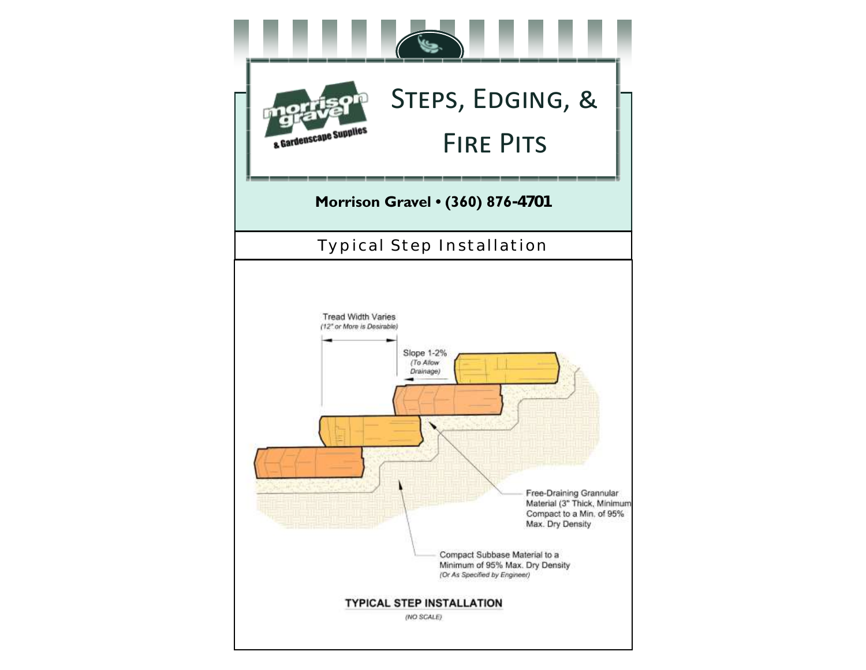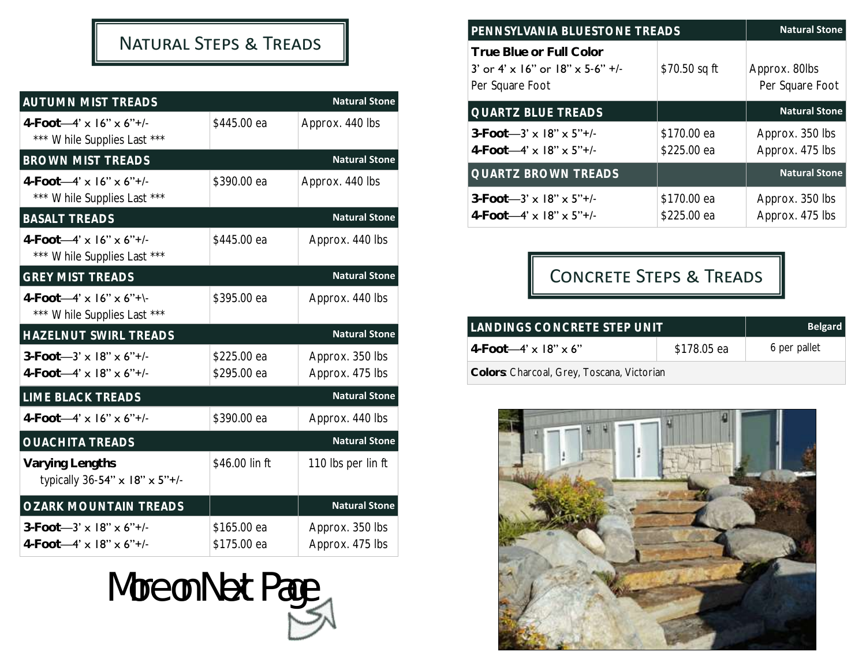# Natural Steps & Treads

| <b>AUTUMN MIST TREADS</b>                                                         |                            | <b>Natural Stone</b>               |
|-----------------------------------------------------------------------------------|----------------------------|------------------------------------|
| $4-Foot-4' \times 16'' \times 6''+1$<br>*** While Supplies Last ***               | \$445.00 ea                | Approx. 440 lbs                    |
| <b>BROWN MIST TREADS</b>                                                          |                            | <b>Natural Stone</b>               |
| $4-Foot-4' \times 16'' \times 6''+/-$<br>*** While Supplies Last ***              | \$390.00 ea                | Approx. 440 lbs                    |
| <b>BASALT TREADS</b>                                                              |                            | <b>Natural Stone</b>               |
| $4-Foot-4' \times 16'' \times 6''+1$<br>*** While Supplies Last ***               | \$445.00 ea                | Approx. 440 lbs                    |
| <b>GREY MIST TREADS</b>                                                           |                            | <b>Natural Stone</b>               |
| $4-Foot-4' \times 16'' \times 6''$ +<br>*** While Supplies Last ***               | \$395.00 ea                | Approx. 440 lbs                    |
| HAZELNUT SWIRL TREADS                                                             |                            | <b>Natural Stone</b>               |
| $3-Foot - 3' \times 18'' \times 6'' +$ /-<br>$4$ -Foot-4' x 18" x 6"+/-           | \$225.00 ea<br>\$295.00 ea | Approx. 350 lbs<br>Approx. 475 lbs |
| LIME BLACK TREADS                                                                 |                            | <b>Natural Stone</b>               |
| $4$ -Foot-4' x $16$ " x $6$ "+/-                                                  | \$390.00 ea                | Approx. 440 lbs                    |
| <b>OUACHITA TREADS</b>                                                            |                            | <b>Natural Stone</b>               |
| Varying Lengths<br>typically 36-54" x 18" x 5"+/-                                 | \$46.00 lin ft             | 110 lbs per lin ft                 |
| <b>OZARK MOUNTAIN TREADS</b>                                                      |                            | <b>Natural Stone</b>               |
| $3-Foot - 3' \times 18'' \times 6'' +$ /-<br>$4-Foot-4' \times 18'' \times 6''+1$ | \$165.00 ea<br>\$175.00 ea | Approx. 350 lbs<br>Approx. 475 lbs |



| PENNSYLVANIA BLUESTONE TREADS                                                                |                            | <b>Natural Stone</b>               |
|----------------------------------------------------------------------------------------------|----------------------------|------------------------------------|
| True Blue or Full Color<br>3' or 4' $\times$ 16" or 18" $\times$ 5-6" +/-<br>Per Square Foot | \$70.50 sq ft              | Approx. 80lbs<br>Per Square Foot   |
| <b>QUARTZ BLUE TREADS</b>                                                                    |                            | <b>Natural Stone</b>               |
| $3-Foot - 3' \times 18'' \times 5''$ +/-<br>$4-Foot-4' \times 18'' \times 5''+/-$            | \$170.00 ea<br>\$225.00 ea | Approx. 350 lbs<br>Approx. 475 lbs |
| <b>QUARTZ BROWN TREADS</b>                                                                   |                            | <b>Natural Stone</b>               |
| $3-Foot - 3' \times 18'' \times 5'' +$ /-<br>$4-Foot-4' \times 18'' \times 5''+/-$           | \$170.00 ea<br>\$225.00 ea | Approx. 350 lbs<br>Approx. 475 lbs |

# Concrete Steps & Treads

| LANDINGS CONCRETE STEP UNIT                | <b>Belgard</b> |  |  |
|--------------------------------------------|----------------|--|--|
| 4-Foot—4' $\times$ 18" $\times$ 6"         | 6 per pallet   |  |  |
| Colors: Charcoal, Grey, Toscana, Victorian |                |  |  |

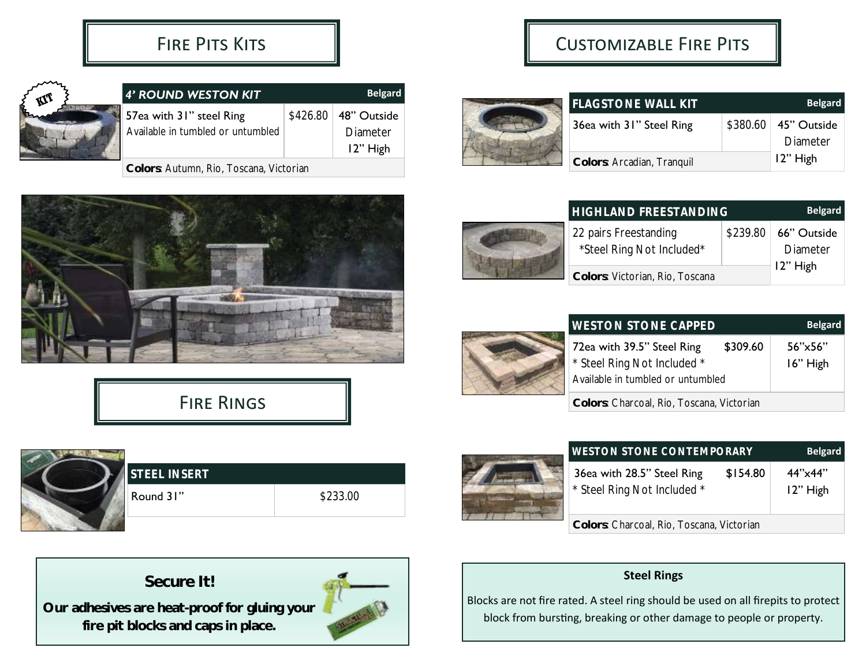

| 4' ROUND WESTON KIT               | <b>Belgard</b> |                               |
|-----------------------------------|----------------|-------------------------------|
| 57ea with 31" steel Ring          |                | $$426.80 \,   \, 48"$ Outside |
| Available in tumbled or untumbled |                | Diameter                      |
|                                   |                | 12" High                      |
|                                   |                |                               |

**Colors**: Autumn, Rio, Toscana, Victorian









**Our adhesives are heat-proof for gluing your fire pit blocks and caps in place.**



## Customizable Fire Pits

| <b>FLAGSTONE WALL KIT</b>  | <b>Belgard</b>         |
|----------------------------|------------------------|
| 36ea with 31" Steel Ring   | \$380.60   45" Outside |
|                            | Diameter               |
| Colors: Arcadian, Tranquil | 12" High               |





| <b>WESTON STONE CAPPED</b>                |          | <b>Belgard</b> |
|-------------------------------------------|----------|----------------|
| 72ea with 39.5" Steel Ring                | \$309.60 | 56''x56''      |
| * Steel Ring Not Included *               |          | 16" High       |
| Available in tumbled or untumbled         |          |                |
| Colors: Charcoal, Rio, Toscana, Victorian |          |                |



| <b>WESTON STONE CONTEMPORARY</b>                                      | <b>Belgard</b>      |  |  |
|-----------------------------------------------------------------------|---------------------|--|--|
| 36ea with 28.5" Steel Ring<br>\$154.80<br>* Steel Ring Not Included * | 44"x44"<br>12" High |  |  |
| Colors: Charcoal, Rio, Toscana, Victorian                             |                     |  |  |

#### **Steel Rings**

Blocks are not fire rated. A steel ring should be used on all firepits to protect block from bursting, breaking or other damage to people or property.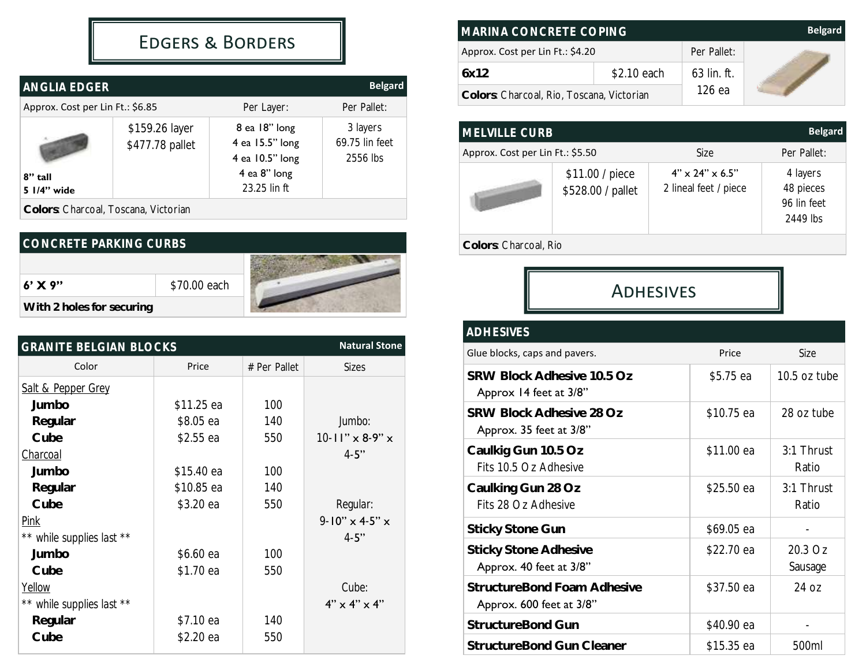## Edgers & Borders

| ANGLIA EDGER                     |                                   |                                                                                     | <b>Belgard</b>                         |
|----------------------------------|-----------------------------------|-------------------------------------------------------------------------------------|----------------------------------------|
| Approx. Cost per Lin Ft.: \$6.85 |                                   | Per Layer:                                                                          | Per Pallet:                            |
| 8" tall<br>5 1/4" wide           | \$159.26 layer<br>\$477.78 pallet | 8 ea 18" long<br>4 ea 15.5" long<br>4 ea 10.5" long<br>4 ea 8" long<br>23.25 lin ft | 3 layers<br>69.75 lin feet<br>2556 lbs |

**Colors**: Charcoal, Toscana, Victorian

| CONCRETE PARKING CURBS    |              |  |  |  |
|---------------------------|--------------|--|--|--|
|                           |              |  |  |  |
| $6'$ X 9"                 | \$70.00 each |  |  |  |
| With 2 holes for securing |              |  |  |  |

| <b>GRANITE BELGIAN BLOCKS</b> | <b>Natural Stone</b> |              |                                  |
|-------------------------------|----------------------|--------------|----------------------------------|
| Color                         | Price                | # Per Pallet | <b>Sizes</b>                     |
| <b>Salt &amp; Pepper Grey</b> |                      |              |                                  |
| Jumbo                         | \$11.25 ea           | 100          |                                  |
| Regular                       | \$8.05 ea            | 140          | Jumbo:                           |
| Cube                          | $$2.55$ ea           | 550          | $10 - 11''$ x 8-9" x             |
| Charcoal                      |                      |              | $4 - 5"$                         |
| Jumbo                         | $$15.40$ ea          | 100          |                                  |
| Regular                       | \$10.85 ea           | 140          |                                  |
| Cube                          | \$3.20 ea            | 550          | Regular:                         |
| <u>Pink</u>                   |                      |              | $9 - 10'' \times 4 - 5'' \times$ |
| ** while supplies last **     |                      |              | $4 - 5"$                         |
| Jumbo                         | \$6.60 ea            | 100          |                                  |
| Cube                          | \$1.70 ea            | 550          |                                  |
| Yellow                        |                      |              | Cube:                            |
| ** while supplies last **     |                      |              | $4" \times 4" \times 4"$         |
| Regular                       | $$7.10$ ea           | 140          |                                  |
| Cube                          | \$2.20 ea            | 550          |                                  |

| MARINA CONCRETE COPING                    |             |               | <b>Belgard</b> |
|-------------------------------------------|-------------|---------------|----------------|
| Approx. Cost per Lin Ft.: \$4.20          |             | Per Pallet:   |                |
| 6x12                                      | \$2.10 each | $63$ lin. ft. |                |
| Colors: Charcoal, Rio, Toscana, Victorian |             | 126 ea        |                |

| <b>MELVILLE CURB</b>             |                                      |                                                      | <b>Belgard</b>                                   |  |
|----------------------------------|--------------------------------------|------------------------------------------------------|--------------------------------------------------|--|
| Approx. Cost per Lin Ft.: \$5.50 |                                      | Size                                                 | Per Pallet:                                      |  |
|                                  | \$11.00 / piece<br>\$528.00 / pallet | $4" \times 24" \times 6.5"$<br>2 lineal feet / piece | 4 layers<br>48 pieces<br>96 lin feet<br>2449 lbs |  |
| Colors: Charcoal, Rio            |                                      |                                                      |                                                  |  |

**ADHESIVES** 

#### *ADHESIVES*

| Glue blocks, caps and pavers.                           | Price      | Size                     |
|---------------------------------------------------------|------------|--------------------------|
| SRW Block Adhesive 10.5 Oz<br>Approx 14 feet at 3/8"    | \$5.75 ea  | 10.5 oz tube             |
| SRW Block Adhesive 28 Oz<br>Approx. 35 feet at 3/8"     | \$10.75 ea | 28 oz tube               |
| Caulkig Gun 10.5 Oz<br>Fits 10.5 Oz Adhesive            | \$11.00 ea | 3:1 Thrust<br>Ratio      |
| Caulking Gun 28 Oz<br>Fits 28 Oz Adhesive               | \$25.50 ea | $3:1$ Thrust<br>Ratio    |
| <b>Sticky Stone Gun</b>                                 | \$69.05 ea |                          |
| <b>Sticky Stone Adhesive</b><br>Approx. 40 feet at 3/8" | \$22.70 ea | 20.3 Oz<br>Sausage       |
| StructureBond Foam Adhesive<br>Approx. 600 feet at 3/8" | \$37.50 ea | 24 oz                    |
| StructureBond Gun                                       | \$40.90 ea | $\overline{\phantom{a}}$ |
| StructureBond Gun Cleaner                               | \$15.35 ea | 500ml                    |